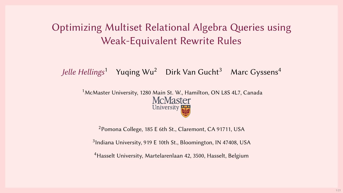# Optimizing Multiset Relational Algebra Queries using Weak-Equivalent Rewrite Rules

Jelle Hellings<sup>1</sup> Yuqing Wu<sup>2</sup> Dirk Van Gucht<sup>3</sup> Marc Gyssens<sup>4</sup>

<sup>1</sup>McMaster University, 1280 Main St. W., Hamilton, ON L8S 4L7, Canada **McMaster** University

<sup>2</sup>Pomona College, 185 E 6th St., Claremont, CA 91711, USA

<sup>3</sup>Indiana University, 919 E 10th St., Bloomington, IN 47408, USA

<sup>4</sup>Hasselt University, Martelarenlaan 42, 3500, Hasselt, Belgium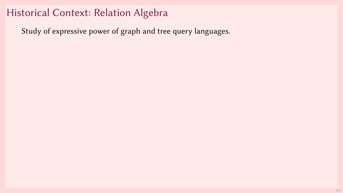## Historical Context: Relation Algebra

Study of expressive power of graph and tree query languages.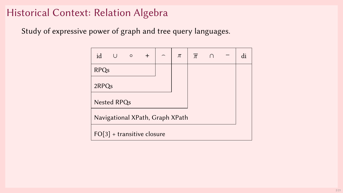## Historical Context: Relation Algebra

Study of expressive power of graph and tree query languages.

| id                              | $\cup$      | $\circ$ | $^{+}$ | $\overline{\phantom{0}}$ | $\pi$ | $\overline{\pi}$ |  |  | di |  |
|---------------------------------|-------------|---------|--------|--------------------------|-------|------------------|--|--|----|--|
| <b>RPQs</b>                     |             |         |        |                          |       |                  |  |  |    |  |
| 2RPQ <sub>s</sub>               |             |         |        |                          |       |                  |  |  |    |  |
|                                 | Nested RPQs |         |        |                          |       |                  |  |  |    |  |
| Navigational XPath, Graph XPath |             |         |        |                          |       |                  |  |  |    |  |
| $FO[3]$ + transitive closure    |             |         |        |                          |       |                  |  |  |    |  |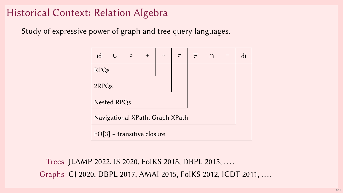# Historical Context: Relation Algebra

Study of expressive power of graph and tree query languages.

| id                              | U           | $\circ$ | $^{+}$ | $\overline{\phantom{0}}$ | $\pi$ | $\overline{\pi}$ |  |  | di |  |
|---------------------------------|-------------|---------|--------|--------------------------|-------|------------------|--|--|----|--|
| <b>RPQs</b>                     |             |         |        |                          |       |                  |  |  |    |  |
| 2RPQ <sub>s</sub>               |             |         |        |                          |       |                  |  |  |    |  |
|                                 | Nested RPQs |         |        |                          |       |                  |  |  |    |  |
| Navigational XPath, Graph XPath |             |         |        |                          |       |                  |  |  |    |  |
| $FO[3]$ + transitive closure    |             |         |        |                          |       |                  |  |  |    |  |

Trees JLAMP 2022, IS 2020, FolKS 2018, DBPL 2015, ....

Graphs CJ 2020, DBPL 2017, AMAI 2015, FoIKS 2012, ICDT 2011, ....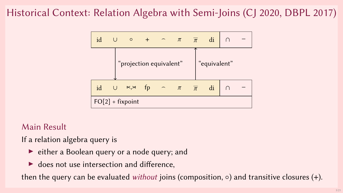# Historical Context: Relation Algebra with Semi-Joins (CJ 2020, DBPL 2017)



#### Main Result

If a relation algebra query is

- $\triangleright$  either a Boolean query or a node query; and
- $\blacktriangleright$  does not use intersection and difference,

then the query can be evaluated *without* joins (composition,  $\circ$ ) and transitive closures (+).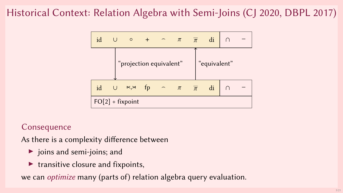# Historical Context: Relation Algebra with Semi-Joins (CJ 2020, DBPL 2017)



#### **Consequence**

As there is a complexity difference between

- ▶ joins and semi-joins; and
- $\blacktriangleright$  transitive closure and fixpoints,

we can *optimize* many (parts of) relation algebra query evaluation.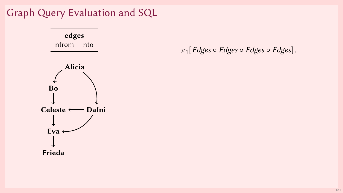

 $\pi_1$ [Edges  $\circ$  Edges  $\circ$  Edges  $\circ$  Edges].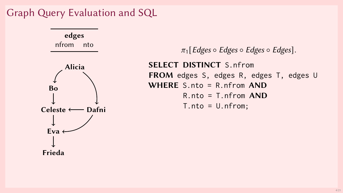

 $\pi_1$ [Edges  $\circ$  Edges  $\circ$  Edges  $\circ$  Edges]. SELECT DISTINCT S.nfrom FROM edges S, edges R, edges T, edges U WHERE S.nto = R.nfrom AND R.nto = T.nfrom AND  $T.nto = U.nfrom;$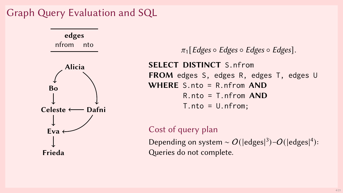

 $\pi_1$ [Edges  $\circ$  Edges  $\circ$  Edges]. SELECT DISTINCT S.nfrom FROM edges S, edges R, edges T, edges U WHERE S.nto = R.nfrom AND  $R.nto = T.nfrom AND$  $T.nto = U.nfrom;$ 

#### Cost of query plan

Depending on system ~  $O(|\text{edges}|^3) - O(|\text{edges}|^4)$ : Queries do not complete.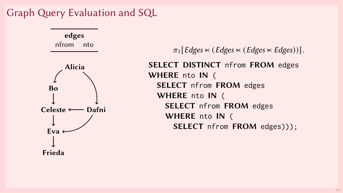

 $\pi_1$  [Edges  $\ltimes$  (Edges  $\ltimes$  (Edges  $\ltimes$  Edges))]. SELECT DISTINCT nfrom FROM edges WHERE nto IN ( SELECT nfrom FROM edges WHERE nto IN ( SELECT nfrom FROM edges WHERE nto IN ( SELECT nfrom FROM edges)));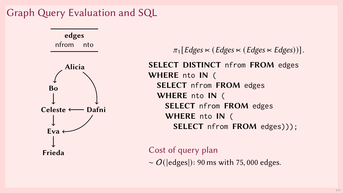

 $\pi_1$  [Edges  $\ltimes$  (Edges  $\ltimes$  (Edges  $\ltimes$  Edges))]. SELECT DISTINCT nfrom FROM edges WHERE nto IN ( SELECT nfrom FROM edges WHERE nto IN ( SELECT nfrom FROM edges WHERE nto IN ( SELECT nfrom FROM edges)));

Cost of query plan  $\sim$  O(|edges|): 90 ms with 75,000 edges.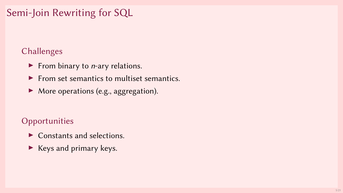# Semi-Join Rewriting for SQL

#### Challenges

- $\blacktriangleright$  From binary to *n*-ary relations.
- $\blacktriangleright$  From set semantics to multiset semantics.
- ▶ More operations (e.g., aggregation).

#### **Opportunities**

- $\blacktriangleright$  Constants and selections.
- ▶ Keys and primary keys.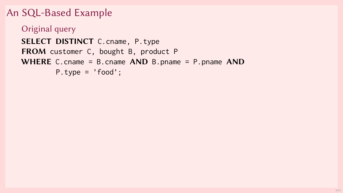```
An SQL-Based Example
```

```
Original query
SELECT DISTINCT C.cname, P.type
FROM customer C, bought B, product P
WHERE C.cname = B.cname AND B.pname = P.pname ANDP.type = 'food';
```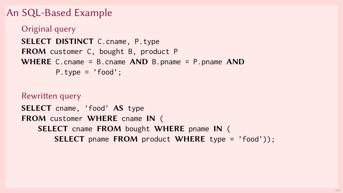### An SQL-Based Example

```
Original query
SELECT DISTINCT C.cname, P.type
FROM customer C, bought B, product P
WHERE C.cname = B.cname AND B.pname = P.pname ANDP.type = 'food':
```
Rewritten query SELECT cname, 'food' AS type FROM customer WHERE cname IN ( SELECT cname FROM bought WHERE pname IN ( **SELECT** pname FROM product WHERE type =  $'$ food'));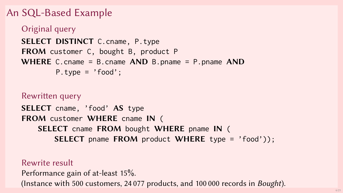## An SQL-Based Example

```
Original query
SELECT DISTINCT C.cname, P.type
FROM customer C, bought B, product P
WHERE C.cname = B.cname AND B.pname = P.pname ANDP_{i} type = 'food':
```
Rewritten query SELECT cname, 'food' AS type FROM customer WHERE cname IN ( SELECT cname FROM bought WHERE pname IN ( **SELECT** pname FROM product WHERE type =  $'$ food'));

#### Rewrite result

Performance gain of at-least 15%. (Instance with 500 customers, 24 077 products, and 100 000 records in Bought).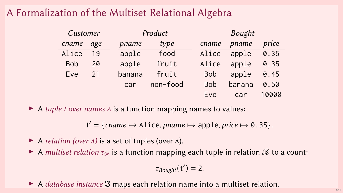# A Formalization of the Multiset Relational Algebra

| Customer   |     |        | Product  |  |            | <b>Bought</b> |       |  |  |
|------------|-----|--------|----------|--|------------|---------------|-------|--|--|
| cname      | age | pname  | type     |  | cname      | pname         | price |  |  |
| Alice      | 19  | apple  | food     |  | Alice      | apple         | 0.35  |  |  |
| <b>Bob</b> | 20  | apple  | fruit    |  | Alice      | apple         | 0.35  |  |  |
| Eve        | 21  | banana | fruit    |  | <b>Bob</b> | apple         | 0.45  |  |  |
|            |     | car    | non-food |  | <b>Bob</b> | banana        | 0.50  |  |  |
|            |     |        |          |  | Eve        | car           | 10000 |  |  |

 $\triangleright$  A tuple t over names A is a function mapping names to values:

 $t' = \{ \text{name} \mapsto \text{Alice}, \text{name} \mapsto \text{apple}, \text{price} \mapsto \emptyset.35 \}.$ 

 $\blacktriangleright$  A relation (over A) is a set of tuples (over A).

A multiset relation  $\tau_{\mathscr{R}}$  is a function mapping each tuple in relation  $\mathscr{R}$  to a count:

 $\tau_{Bought}(t') = 2.$ 

▶ A *database instance* **3** maps each relation name into a multiset relation.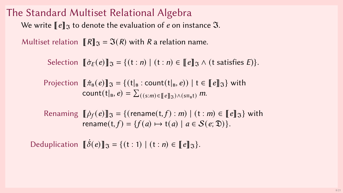### The Standard Multiset Relational Algebra We write  $\lbrack\!\lbrack e\rbrack\!\rbrack$ <sub>3</sub> to denote the evaluation of e on instance 3.

Multiset relation  $[[R]]_{\gamma} = \Im(R)$  with R a relation name.

Selection  $\[\vec{\sigma}_F(e)\]_{\mathfrak{N}} = \{(t : n) \mid (t : n) \in [e]\]_{\mathfrak{N}} \wedge (t \text{ satisfies } E)\}.$ 

Projection  $[\![\pi_{\mathbf{B}}(e)]\!]_{\mathfrak{B}} = \{(t|_{\mathbf{B}} : \text{count}(t|_{\mathbf{B}}, e)) \mid t \in [\![e]\!]_{\mathfrak{B}}\}$  with count $(t|_B, e) = \sum_{((s:m) \in [e]]_{\mathfrak{D}} \wedge (s \equiv_b t)} m$ .

Renaming  $[\![\dot{\rho}_f(e)]\!]$  $\mathfrak{F} = \{(\text{rename}(\mathfrak{t}, f) : m) \mid (\mathfrak{t} : m) \in [\![e]\!]$  $\mathfrak{F}$  with rename(t, f) = {f(a)  $\mapsto$  t(a) | a  $\in$  S(e;  $\mathfrak{D}$ )}.

Deduplication  $\|\delta(e)\|_{\mathfrak{A}} = \{(t:1) \mid (t:n) \in \|e\|_{\mathfrak{A}}\}.$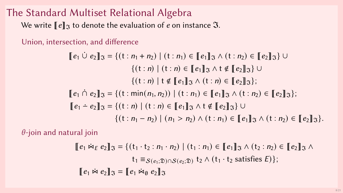# The Standard Multiset Relational Algebra

We write  $\llbracket e \rrbracket$ <sup>3</sup> to denote the evaluation of *e* on instance 3.

Union, intersection, and difference

$$
[\![e_1 \cup e_2]\!]_{\mathfrak{I}} = \{ (t : n_1 + n_2) \mid (t : n_1) \in [\![e_1]\!]_{\mathfrak{I}} \land (t : n_2) \in [\![e_2]\!]_{\mathfrak{I}} \} \cup \{ (t : n) \mid (t : n) \in [\![e_1]\!]_{\mathfrak{I}} \land t \notin [\![e_2]\!]_{\mathfrak{I}} \} \cup \{ (t : n) \mid t \notin [\![e_1]\!]_{\mathfrak{I}} \land (t : n) \in [\![e_2]\!]_{\mathfrak{I}} \} ; \n[\![e_1 \cap e_2]\!]_{\mathfrak{I}} = \{ (t : \min(n_1, n_2)) \mid (t : n_1) \in [\![e_1]\!]_{\mathfrak{I}} \land (t : n_2) \in [\![e_2]\!]_{\mathfrak{I}} \} ; \n[\![e_1 - e_2]\!]_{\mathfrak{I}} = \{ (t : n) \mid (t : n) \in [\![e_1]\!]_{\mathfrak{I}} \land t \notin [\![e_2]\!]_{\mathfrak{I}} \} \cup \n\{ (t : n_1 - n_2) \mid (n_1 > n_2) \land (t : n_1) \in [\![e_1]\!]_{\mathfrak{I}} \land (t : n_2) \in [\![e_2]\!]_{\mathfrak{I}} \} .
$$

 $\theta$ -join and natural join

$$
\begin{aligned} [e_1 \bowtie_E e_2]_{\mathfrak{I}} &= \{ (\mathbf{t}_1 \cdot \mathbf{t}_2 : n_1 \cdot n_2) \mid (\mathbf{t}_1 : n_1) \in [\![ e_1 ]\!]_{\mathfrak{I}} \land (\mathbf{t}_2 : n_2) \in [\![ e_2 ]\!]_{\mathfrak{I}} \land \\ & \mathbf{t}_1 \equiv_{\mathcal{S}(e_1; \mathfrak{D}) \cap \mathcal{S}(e_2; \mathfrak{D})} \mathbf{t}_2 \land (\mathbf{t}_1 \cdot \mathbf{t}_2 \text{ satisfies } E) \}; \\ [e_1 \bowtie e_2]_{\mathfrak{I}} &= [\![ e_1 \bowtie_\emptyset e_2 ]\!]_{\mathfrak{I}} \end{aligned}
$$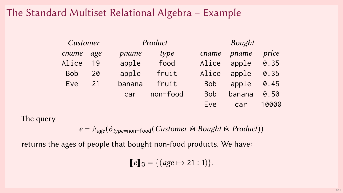## The Standard Multiset Relational Algebra – Example

| Customer   |     |        | Product  |  |            | <b>Bought</b> |       |  |  |
|------------|-----|--------|----------|--|------------|---------------|-------|--|--|
| cname      | age | pname  | type     |  | cname      | pname         | price |  |  |
| Alice      | 19  | apple  | food     |  | Alice      | apple         | 0.35  |  |  |
| <b>Bob</b> | 20  | apple  | fruit    |  | Alice      | apple         | 0.35  |  |  |
| Eve        | 21  | banana | fruit    |  | <b>Bob</b> | apple         | 0.45  |  |  |
|            |     | car    | non-food |  | <b>Bob</b> | banana        | 0.50  |  |  |
|            |     |        |          |  | Eve        | car           | 10000 |  |  |

The query

 $e = \dot{\pi}_{\text{age}}(\dot{\sigma}_{\text{type}=non-food}(Customer \approx Bought \approx Product))$ 

returns the ages of people that bought non-food products. We have:

 $[ [e]$ <sub>3</sub> = {(age  $\mapsto$  21 : 1)}.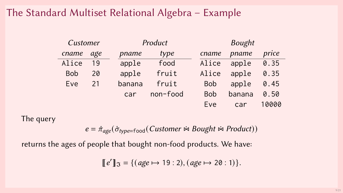### The Standard Multiset Relational Algebra – Example

| Customer   |     |        | Product  |  |            | <b>Bought</b> |       |  |  |
|------------|-----|--------|----------|--|------------|---------------|-------|--|--|
| cname      | age | pname  | type     |  | cname      | pname         | price |  |  |
| Alice      | 19  | apple  | food     |  | Alice      | apple         | 0.35  |  |  |
| <b>Bob</b> | 20  | apple  | fruit    |  | Alice      | apple         | 0.35  |  |  |
| Eve        | 21  | banana | fruit    |  | <b>Bob</b> | apple         | 0.45  |  |  |
|            |     | car    | non-food |  | <b>Bob</b> | banana        | 0.50  |  |  |
|            |     |        |          |  | Eve        | car           | 10000 |  |  |

The query

 $e = \dot{\pi}_{\text{age}}(\dot{\sigma}_{\text{type}=\text{food}}(Customer \approx Bought \approx Product))$ 

returns the ages of people that bought non-food products. We have:

 $[ [e'] ]$ <sub>3</sub> = {(age  $\mapsto$  19 : 2), (age  $\mapsto$  20 : 1)}.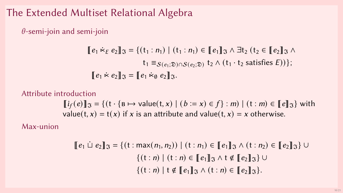## The Extended Multiset Relational Algebra

 $\theta$ -semi-join and semi-join

$$
\begin{aligned} [\![e_1 \ltimes_E e_2]\!]_{\mathfrak{I}} &= \{ (\mathbf{t}_1 : n_1) \mid (\mathbf{t}_1 : n_1) \in [\![e_1]\!]_{\mathfrak{I}} \land \exists \mathbf{t}_2 \ (\mathbf{t}_2 \in [\![e_2]\!]_{\mathfrak{I}} \land \\ &\mathbf{t}_1 \equiv_{\mathcal{S}(e_1; \mathfrak{D}) \cap \mathcal{S}(e_2; \mathfrak{D})} \mathbf{t}_2 \land (\mathbf{t}_1 \cdot \mathbf{t}_2 \text{ satisfies } E)) \}; \\ [\![e_1 \ltimes e_2]\!]_{\mathfrak{I}} &= [\![e_1 \ltimes_E e_2]\!]_{\mathfrak{I}}. \end{aligned}
$$

Attribute introduction

$$
\llbracket i_f(e) \rrbracket_{\mathfrak{I}} = \{(t \cdot \{B \mapsto \text{value}(t, x) \mid (b := x) \in f\} : m) \mid (t : m) \in \llbracket e \rrbracket_{\mathfrak{I}} \}
$$
 with value(t, x) = t(x) if x is an attribute and value(t, x) = x otherwise.

Max-union

$$
\llbracket e_1 \perp e_2 \rrbracket_{\mathfrak{I}} = \{ (t : \max(n_1, n_2)) \mid (t : n_1) \in \llbracket e_1 \rrbracket_{\mathfrak{I}} \land (t : n_2) \in \llbracket e_2 \rrbracket_{\mathfrak{I}} \} \cup \n\{ (t : n) \mid (t : n) \in \llbracket e_1 \rrbracket_{\mathfrak{I}} \land t \notin \llbracket e_2 \rrbracket_{\mathfrak{I}} \} \cup \n\{ (t : n) \mid t \notin \llbracket e_1 \rrbracket_{\mathfrak{I}} \land (t : n) \in \llbracket e_2 \rrbracket_{\mathfrak{I}} \}.
$$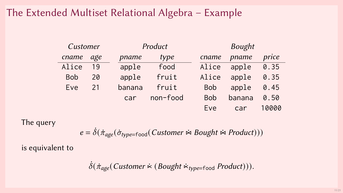### The Extended Multiset Relational Algebra – Example

| Customer   |     |        | Product  |  |            | <b>Bought</b> |       |  |  |
|------------|-----|--------|----------|--|------------|---------------|-------|--|--|
| cname      | age | pname  | type     |  | cname      | pname         | price |  |  |
| Alice      | 19  | apple  | food     |  | Alice      | apple         | 0.35  |  |  |
| <b>Bob</b> | 20  | apple  | fruit    |  | Alice      | apple         | 0.35  |  |  |
| Eve        | 21  | banana | fruit    |  | <b>Bob</b> | apple         | 0.45  |  |  |
|            |     | car    | non-food |  | <b>Bob</b> | banana        | 0.50  |  |  |
|            |     |        |          |  | Eve        | car           | 10000 |  |  |

The query

 $e = \dot{\delta}(\dot{\pi}_{age}(\dot{\sigma}_{type=food}(Customer \approx Bought \approx Product)))$ 

is equivalent to

$$
\dot{\delta}(\dot{\pi}_{\text{age}}(\text{Customer} \times (\text{Bought} \times_{\text{type}=\text{food}} \text{Product}))).
$$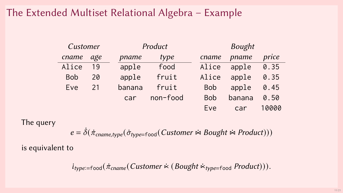## The Extended Multiset Relational Algebra – Example

| Customer   |     |        | Product  |            |            | <b>Bought</b> |       |  |  |
|------------|-----|--------|----------|------------|------------|---------------|-------|--|--|
| cname      | age | pname  | type     |            | cname      | pname         | price |  |  |
| Alice      | 19  | apple  | food     |            | Alice      | apple         | 0.35  |  |  |
| <b>Bob</b> | 20  | apple  | fruit    |            | Alice      | apple         | 0.35  |  |  |
| Eve        | 21  | banana | fruit    |            | <b>Bob</b> | apple         | 0.45  |  |  |
|            |     | car    | non-food | <b>Bob</b> |            | banana        | 0.50  |  |  |
|            |     |        |          |            | Eve        | car           | 10000 |  |  |

The query

 $e = \dot{\delta}(\dot{\pi}_{\text{cname},type}(\dot{\sigma}_{type=food}(Customer \approx Bought \approx Product)))$ 

is equivalent to

 $i_{type:=food}(\pi_{cname}(Customer \times (Bought \times_{type=food} Product))).$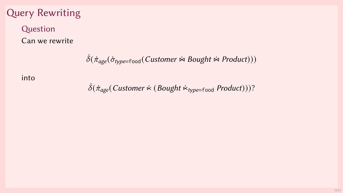# Query Rewriting

### Question Can we rewrite

$$
\dot{\delta}(\dot{\pi}_{\text{age}}(\dot{\sigma}_{\text{type}=\text{food}}(\text{Customer} \Join \text{Bought} \Join \text{Product})))
$$

into

 $\dot{\delta}(\dot{\pi}_{\text{age}}(\text{Customer} \times (\text{Bought} \times_{\text{type}=\text{food}} \text{Product})))$ ?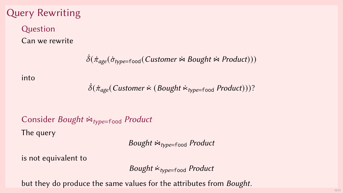# Query Rewriting

### Question Can we rewrite

$$
\dot{\delta}(\dot{\pi}_{\text{age}}(\dot{\sigma}_{\text{type}=\text{food}}(\text{Customer} \Join \text{Bought} \Join \text{Product})))
$$

#### into

 $\delta(\dot{\pi}_{\text{age}}(\text{Customer} \times (\text{Bought} \times_{\text{type}=\text{food}} \text{Product})))$ ?

# Consider Bought  $\dot{\bowtie}_{type=food}$  Product The query

Bought  $\dot{w}_{type=food}$  Product

is not equivalent to

Bought  $\dot{\kappa}_{type=food}$  Product

but they do produce the same values for the attributes from Bought.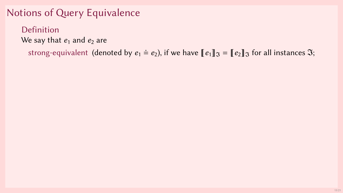Definition We say that  $e_1$  and  $e_2$  are

strong-equivalent (denoted by  $e_1 \doteq e_2$ ), if we have  $[\![e_1]\!]$  $\mathfrak{F} = [\![e_2]\!]$  $\mathfrak{F}$  for all instances  $\mathfrak{F}$ ;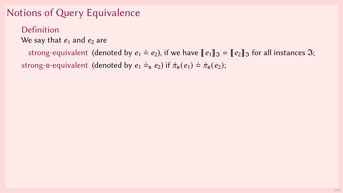#### Definition We say that  $e_1$  and  $e_2$  are

strong-equivalent (denoted by  $e_1 \doteq e_2$ ), if we have  $\llbracket e_1 \rrbracket_{\Im} = \llbracket e_2 \rrbracket_{\Im}$  for all instances  $\Im$ ; strong-b-equivalent (denoted by  $e_1 \doteq_B e_2$ ) if  $\dot{\pi}_B (e_1) \doteq \dot{\pi}_B (e_2)$ ;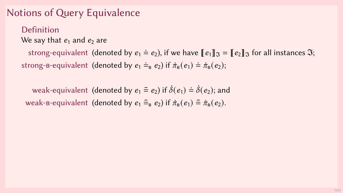Definition We say that  $e_1$  and  $e_2$  are

strong-equivalent (denoted by  $e_1 \doteq e_2$ ), if we have  $\llbracket e_1 \rrbracket_{\Im} = \llbracket e_2 \rrbracket_{\Im}$  for all instances  $\Im$ ; strong-b-equivalent (denoted by  $e_1 \doteq_B e_2$ ) if  $\dot{\pi}_B (e_1) \doteq \dot{\pi}_B (e_2);$ 

weak-equivalent (denoted by  $e_1 \stackrel{\sim}{=} e_2$ ) if  $\dot{\delta}(e_1) \stackrel{\sim}{=} \dot{\delta}(e_2)$ ; and weak-b-equivalent (denoted by  $e_1 \tilde{=} _{R} e_2$ ) if  $\dot{\pi}_{B} (e_1) \tilde{=} \dot{\pi}_{B} (e_2)$ .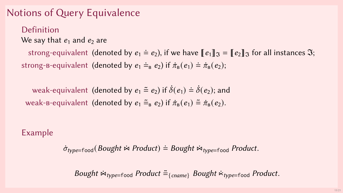Definition We say that  $e_1$  and  $e_2$  are

strong-equivalent (denoted by  $e_1 \doteq e_2$ ), if we have  $\llbracket e_1 \rrbracket_{\Im} = \llbracket e_2 \rrbracket_{\Im}$  for all instances  $\Im$ ; strong-b-equivalent (denoted by  $e_1 \doteq_B e_2$ ) if  $\dot{\pi}_B (e_1) \doteq \dot{\pi}_B (e_2);$ 

weak-equivalent (denoted by  $e_1 \equiv e_2$ ) if  $\dot{\delta}(e_1) \doteq \dot{\delta}(e_2)$ ; and weak-b-equivalent (denoted by  $e_1 \stackrel{\sim}{=} \kappa_1 e_2$ ) if  $\dot{\pi}_B (e_1) \stackrel{\sim}{=} \dot{\pi}_B (e_2)$ .

#### Example

 $\dot{\sigma}_{type=food}$  (Bought  $\dot{\bowtie}$  Product)  $\dot{=}$  Bought  $\dot{\bowtie}_{type=food}$  Product.

Bought  $\dot{\bowtie}_{type=food}$  Product  $\tilde{=}$ {cname} Bought  $\dot{\bowtie}_{type=food}$  Product.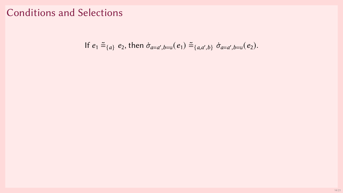# Conditions and Selections

If 
$$
e_1 \tilde{=}_{\{a\}} e_2
$$
, then  $\dot{\sigma}_{a=a',b=u}(e_1) \tilde{=}_{\{a,a',b\}} \dot{\sigma}_{a=a',b=u}(e_2)$ .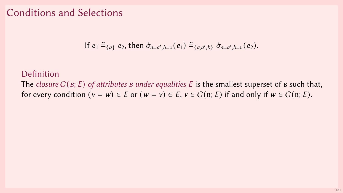### Conditions and Selections

If 
$$
e_1 \tilde{=}_{\{a\}} e_2
$$
, then  $\dot{\sigma}_{a=a',b=u}(e_1) \tilde{=}_{\{a,a',b\}} \dot{\sigma}_{a=a',b=u}(e_2)$ .

#### Definition

The closure  $C(\mathfrak{g};E)$  of attributes  $\mathfrak g$  under equalities  $E$  is the smallest superset of  $\mathfrak g$  such that, for every condition  $(v = w) \in E$  or  $(w = v) \in E$ ,  $v \in C(B; E)$  if and only if  $w \in C(B; E)$ .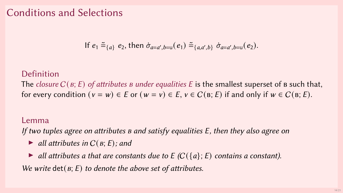### Conditions and Selections

If 
$$
e_1 \tilde{=}_{\{a\}} e_2
$$
, then  $\dot{\sigma}_{a=a',b=u}(e_1) \tilde{=}_{\{a,a',b\}} \dot{\sigma}_{a=a',b=u}(e_2)$ .

#### Definition

The closure  $C(g; E)$  of attributes *B* under equalities *E* is the smallest superset of *B* such that, for every condition  $(v = w) \in E$  or  $(w = v) \in E$ ,  $v \in C(B; E)$  if and only if  $w \in C(B; E)$ .

#### Lemma

If two tuples agree on attributes  $\bf{B}$  and satisfy equalities  $\bf{E}$ , then they also agree on

- $\blacktriangleright$  all attributes in  $C(B; E)$ ; and
- $\triangleright$  all attributes a that are constants due to E (C({a}; E) contains a constant).

We write det( $B$ ; E) to denote the above set of attributes.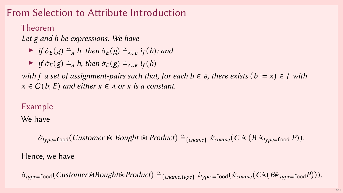# From Selection to Attribute Introduction

#### Theorem

Let g and h be expressions. We have

- ▶ if  $\dot{\sigma}_E(g) \cong_A h$ , then  $\dot{\sigma}_E(g) \cong_{A\cup B} i_f(h)$ ; and
- $\triangleright$  if  $\dot{\sigma}_E(g) \doteq_{A} h$ , then  $\dot{\sigma}_E(g) \doteq_{A\cup B} i_f(h)$

with f a set of assignment-pairs such that, for each  $b \in B$ , there exists  $(b := x) \in f$  with  $x \in C(b; E)$  and either  $x \in A$  or x is a constant.

#### Example

We have

 $\dot{\sigma}_{type=food}(Customer \approx Bought \approx Product) \tilde{=} _{\{orange\}} \dot{\pi}_{cname} (C \times (B \times_{type=food} P)).$ 

Hence, we have

 $\sigma_{type=food}(Customer \times Bought \times Product) \cong_{\{change, type\}} i_{type:=food}(\pi_{orange}(C \times (B \times_{type=food} P))).$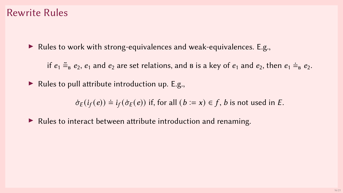#### Rewrite Rules

▶ Rules to work with strong-equivalences and weak-equivalences. E.g.,

if  $e_1 \tilde{=}$ <sub>B</sub>  $e_2$ ,  $e_1$  and  $e_2$  are set relations, and  $\tilde{B}$  is a key of  $e_1$  and  $e_2$ , then  $e_1 \dot{=}$   $\tilde{B}$   $e_2$ .

 $\blacktriangleright$  Rules to pull attribute introduction up. E.g.,

 $\dot{\sigma}_F(i_f(e)) \doteq i_f(\dot{\sigma}_E(e))$  if, for all  $(b = x) \in f$ , *b* is not used in *E*.

▶ Rules to interact between attribute introduction and renaming.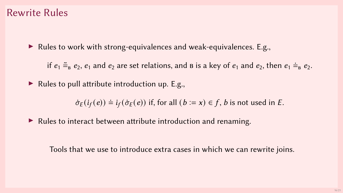#### Rewrite Rules

▶ Rules to work with strong-equivalences and weak-equivalences. E.g.,

if  $e_1 \tilde{=}$ <sub>b</sub>  $e_2$ ,  $e_1$  and  $e_2$  are set relations, and  $\tilde{B}$  is a key of  $e_1$  and  $e_2$ , then  $e_1 \dot{=}$   $\tilde{B}$   $e_2$ .

 $\blacktriangleright$  Rules to pull attribute introduction up. E.g.,

 $\dot{\sigma}_E(i_f(e)) \doteq i_f(\dot{\sigma}_E(e))$  if, for all  $(b := x) \in f$ , *b* is not used in *E*.

▶ Rules to interact between attribute introduction and renaming.

Tools that we use to introduce extra cases in which we can rewrite joins.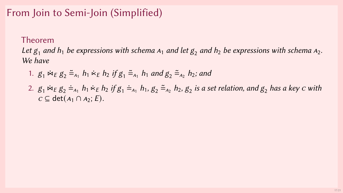## From Join to Semi-Join (Simplified)

#### Theorem

Let  $g_1$  and  $h_1$  be expressions with schema  $A_1$  and let  $g_2$  and  $h_2$  be expressions with schema  $A_2$ . We have

- 1.  $g_1 \Join_E g_2 \cong_{A_1} h_1 \Join_E h_2$  if  $g_1 \cong_{A_1} h_1$  and  $g_2 \cong_{A_2} h_2$ ; and
- 2.  $g_1 \Join_E g_2 \doteq_{A_1} h_1 \Join_E h_2$  if  $g_1 \doteq_{A_1} h_1$ ,  $g_2 \doteq_{A_2} h_2$ ,  $g_2$  is a set relation, and  $g_2$  has a key  $c$  with  $c \subseteq \det(A_1 \cap A_2; E)$ .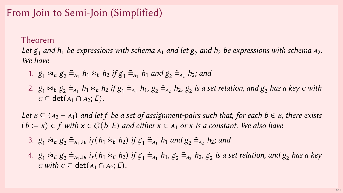## From Join to Semi-Join (Simplified)

#### Theorem

Let  $g_1$  and  $h_1$  be expressions with schema  $A_1$  and let  $g_2$  and  $h_2$  be expressions with schema  $A_2$ . We have

- 1.  $g_1 \Join_E g_2 \cong_{A_1} h_1 \Join_E h_2$  if  $g_1 \cong_{A_1} h_1$  and  $g_2 \cong_{A_2} h_2$ ; and
- 2.  $g_1 \Join_E g_2 \doteq_{A_1} h_1 \Join_E h_2$  if  $g_1 \doteq_{A_1} h_1$ ,  $g_2 \doteq_{A_2} h_2$ ,  $g_2$  is a set relation, and  $g_2$  has a key  $c$  with  $c \subseteq \det(A_1 \cap A_2; E)$ .

Let  $B \subseteq (A_2 - A_1)$  and let f be a set of assignment-pairs such that, for each  $b \in B$ , there exists  $(b := x) \in f$  with  $x \in C(b; E)$  and either  $x \in A_1$  or x is a constant. We also have

- 3.  $g_1 \Join_E g_2 \equiv_{A_1 \cup B} i_f(h_1 \Join_E h_2)$  if  $g_1 \equiv_{A_1} h_1$  and  $g_2 \equiv_{A_2} h_2$ ; and
- 4.  $g_1$   $\dot{\bowtie}_E g_2 =_{A_1\cup B} i_f(h_1 \dot{\ltimes}_E h_2)$  if  $g_1 =_{A_1} h_1$ ,  $g_2 =_{A_2} h_2$ ,  $g_2$  is a set relation, and  $g_2$  has a key  $c$  with  $c \subseteq$  det( $A_1 \cap A_2$ ; E).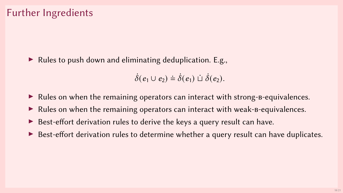### Further Ingredients

▶ Rules to push down and eliminating deduplication. E.g.,

 $\dot{\delta}(e_1 \cup e_2) \doteq \dot{\delta}(e_1) \cup \dot{\delta}(e_2).$ 

- ▶ Rules on when the remaining operators can interact with strong-B-equivalences.
- $\triangleright$  Rules on when the remaining operators can interact with weak-b-equivalences.
- ▶ Best-effort derivation rules to derive the keys a query result can have.
- $\triangleright$  Best-effort derivation rules to determine whether a query result can have duplicates.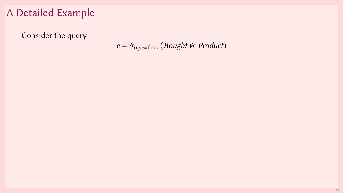Consider the query

 $e = \dot{\sigma}_{type=food}(Bought \approx Product)$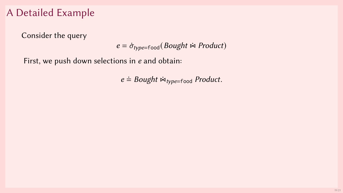Consider the query

 $e = \dot{\sigma}_{\text{type}=\text{food}}(Bought \approx Product)$ 

First, we push down selections in e and obtain:

 $e \doteq Bought \Join_{type=food} Product.$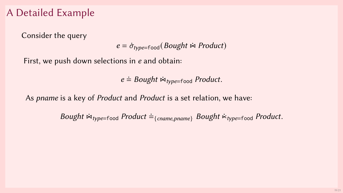Consider the query

 $e = \dot{\sigma}_{true=food} (Bought \approx Product)$ 

First, we push down selections in e and obtain:

 $e \doteq Bought \Join_{type=food} Product.$ 

As pname is a key of Product and Product is a set relation, we have:

Bought  $\dot{\bowtie}_{type=food}$  Product  $\dot{=}$ <sub>{cname,pname}</sub> Bought  $\dot{\bowtie}_{type=food}$  Product.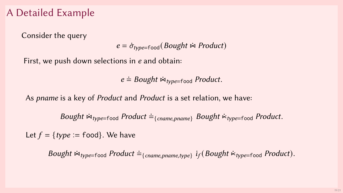Consider the query

 $e = \dot{\sigma}_{true=food} (Bought \approx Product)$ 

First, we push down selections in e and obtain:

 $e \doteq Bought \Join_{type=food} Product.$ 

As pname is a key of Product and Product is a set relation, we have:

Bought  $\dot{\bowtie}_{type=food}$  Product  $\dot{=}$ <sub>{cname,pname}</sub> Bought  $\dot{\bowtie}_{type=food}$  Product.

Let  $f = \{type = food\}$ . We have

Bought  $\dot{\bowtie}_{type=food}$  Product  $\dot{=}$ <sub>{cname,pname,type}</sub>  $i_f$ (Bought  $\dot{\bowtie}_{type=food}$  Product).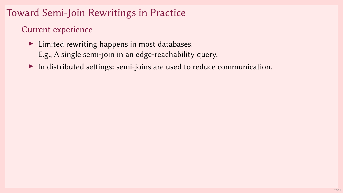# Toward Semi-Join Rewritings in Practice

#### Current experience

- ▶ Limited rewriting happens in most databases.
	- E.g., A single semi-join in an edge-reachability query.
- ▶ In distributed settings: semi-joins are used to reduce communication.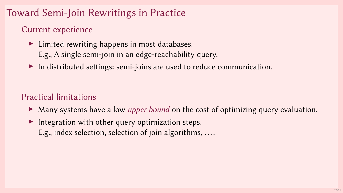# Toward Semi-Join Rewritings in Practice

#### Current experience

- $\blacktriangleright$  Limited rewriting happens in most databases. E.g., A single semi-join in an edge-reachability query.
- ▶ In distributed settings: semi-joins are used to reduce communication.

#### Practical limitations

- ▶ Many systems have a low *upper bound* on the cost of optimizing query evaluation.
- $\blacktriangleright$  Integration with other query optimization steps. E.g., index selection, selection of join algorithms, ....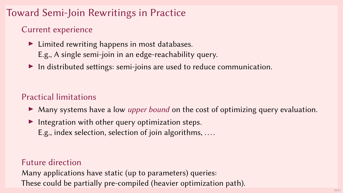# Toward Semi-Join Rewritings in Practice

#### Current experience

- $\blacktriangleright$  Limited rewriting happens in most databases. E.g., A single semi-join in an edge-reachability query.
- ▶ In distributed settings: semi-joins are used to reduce communication.

### Practical limitations

- ▶ Many systems have a low *upper bound* on the cost of optimizing query evaluation.
- $\blacktriangleright$  Integration with other query optimization steps. E.g., index selection, selection of join algorithms, ....

#### Future direction

Many applications have static (up to parameters) queries: These could be partially pre-compiled (heavier optimization path).